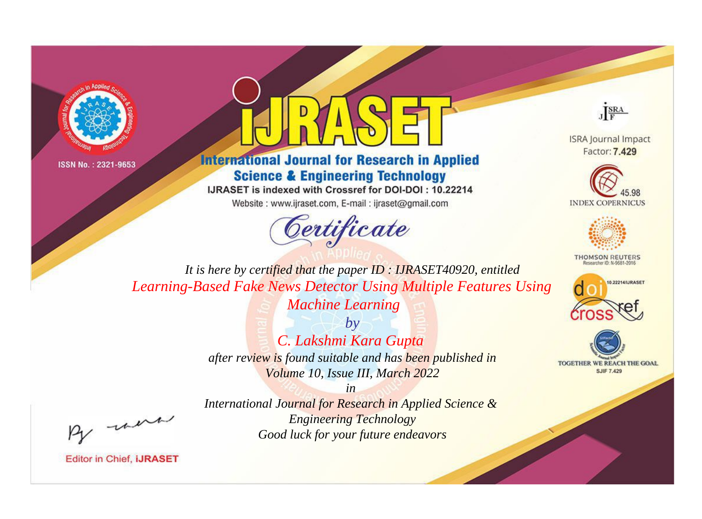



**International Journal for Research in Applied Science & Engineering Technology** 

IJRASET is indexed with Crossref for DOI-DOI: 10.22214

Website: www.ijraset.com, E-mail: ijraset@gmail.com





**ISRA Journal Impact** Factor: 7.429





**THOMSON REUTERS** 



TOGETHER WE REACH THE GOAL **SJIF 7.429** 

*It is here by certified that the paper ID : IJRASET40920, entitled Learning-Based Fake News Detector Using Multiple Features Using Machine Learning*

> *by C. Lakshmi Kara Gupta after review is found suitable and has been published in Volume 10, Issue III, March 2022*

, un

*International Journal for Research in Applied Science & Engineering Technology Good luck for your future endeavors*

*in*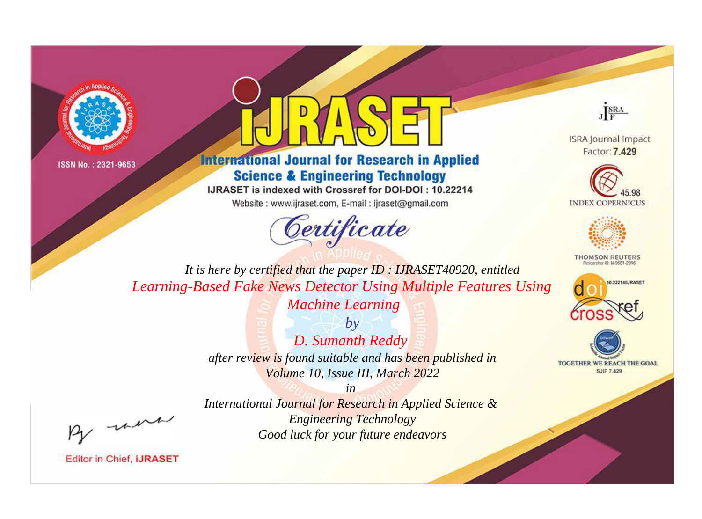



**International Journal for Research in Applied Science & Engineering Technology** 

IJRASET is indexed with Crossref for DOI-DOI: 10.22214

Website: www.ijraset.com, E-mail: ijraset@gmail.com



JERA

**ISRA Journal Impact** Factor: 7.429





**THOMSON REUTERS** 



TOGETHER WE REACH THE GOAL **SJIF 7.429** 

It is here by certified that the paper ID: IJRASET40920, entitled Learning-Based Fake News Detector Using Multiple Features Using **Machine Learning** 

> $b\nu$ D. Sumanth Reddy after review is found suitable and has been published in Volume 10, Issue III, March 2022

 $in$ International Journal for Research in Applied Science & **Engineering Technology** Good luck for your future endeavors

were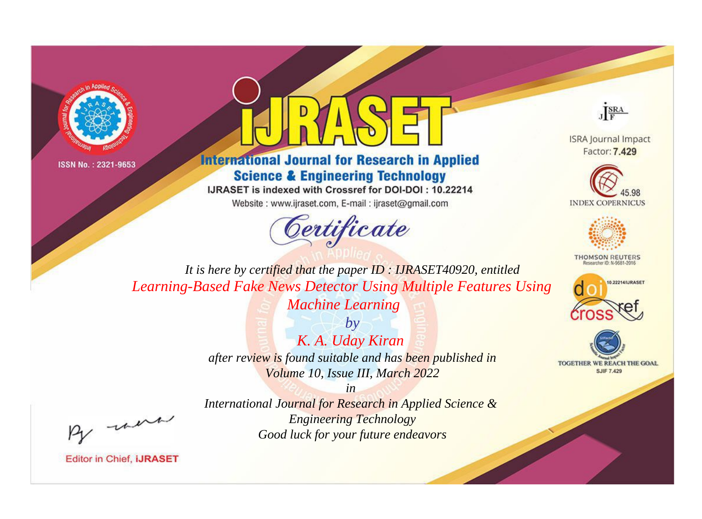



**International Journal for Research in Applied Science & Engineering Technology** 

IJRASET is indexed with Crossref for DOI-DOI: 10.22214

Website: www.ijraset.com, E-mail: ijraset@gmail.com



JERA

**ISRA Journal Impact** Factor: 7.429





**THOMSON REUTERS** 



TOGETHER WE REACH THE GOAL **SJIF 7.429** 

It is here by certified that the paper ID: IJRASET40920, entitled Learning-Based Fake News Detector Using Multiple Features Using **Machine Learning** 

> $b\nu$ K. A. Uday Kiran after review is found suitable and has been published in Volume 10, Issue III, March 2022

 $in$ International Journal for Research in Applied Science & **Engineering Technology** Good luck for your future endeavors

were